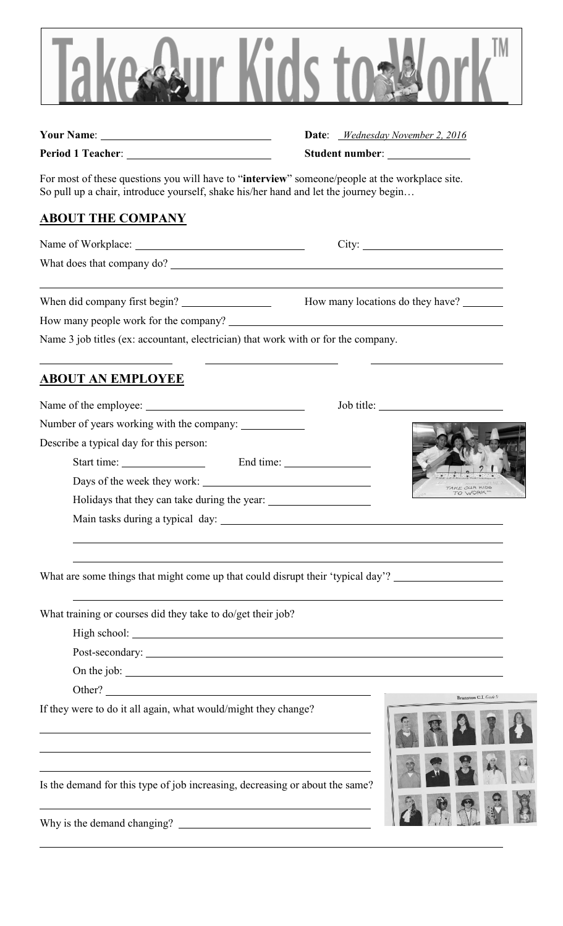

**Your Name**: **Date**: *Wednesday November 2, 2016* **Period 1 Teacher:** <u>Constantine and Student number:</u> Student number:

For most of these questions you will have to "**interview**" someone/people at the workplace site. So pull up a chair, introduce yourself, shake his/her hand and let the journey begin…

## **ABOUT THE COMPANY**

Name of Workplace: City:

What does that company do?

When did company first begin? How many locations do they have?

How many people work for the company?

Name 3 job titles (ex: accountant, electrician) that work with or for the company.

## **ABOUT AN EMPLOYEE**

Name of the employee: Job title:

Number of years working with the company:

Describe a typical day for this person:

Start time: End time:

Days of the week they work:

Holidays that they can take during the year:

Main tasks during a typical day:

What are some things that might come up that could disrupt their 'typical day'?

What training or courses did they take to do/get their job?

High school:

Post-secondary:

On the job:

Other?

If they were to do it all again, what would/might they change?



Is the demand for this type of job increasing, decreasing or about the same?

Why is the demand changing?